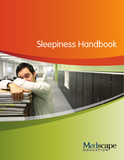# Sleepiness Handbook



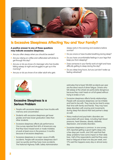

## Is Excessive Sleepiness Affecting You and Your Family?

#### **A positive answer to any of these questions may indicate excessive sleepiness.**

- Are you often sleepy when you should be awake?
- Are you relying on coffee and caffeinated soft drinks to get through the day?
- Are you or do you know of a teenager who has trouble falling asleep at night and struggles to get up in the morning?
- Are you or do you know of an older adult who gets

 sleepy early in the evening and awakens before sunrise?

- Do you snore or have trouble breathing during sleep?
- Do you have uncomfortable feelings in your legs that keep you from sleeping?
- Does someone in your family work at night and have difficulty getting to sleep during the day?
- Do you sleep long hours, but you just don't wake up feeling refreshed?



## Excessive Sleepiness Is a Serious Problem

- People with excessive sleepiness have trouble with memory and concentration.
- Students with excessive sleepiness get lower grades and have lower graduation rates than other students.
- Excessive sleepiness affects job performance. One survey reported that 46% of Americans say that they have missed work or made mistakes at work at least once in the previous 3 months because of excessive sleepiness.
- Excessive sleepiness is a major cause of traffic accidents. People with excessive sleepiness don't react as quickly and they have more accidents. The National Highway Traffic Safety Administration

 estimates that at least 100,000 accidents per year are the direct result of driver fatigue. Drivers who fall asleep at the wheel are particularly dangerous because they crash head-on at full speed without trying to brake or turn.

- Excessive sleepiness affects family relationships. People with excessive sleepiness can be irritable and hard to live with. They may be too tired to enjoy their time with family and friends. They may have sleep disorders with snoring and movements during sleep that disturb their bed partner's sleep as well.
- Many medical and psychiatric disorders are associated with poor sleep, including high blood pressure, heart disease, obesity, diabetes, depression, and anxiety disorders.
- Excessive sleepiness is common. In one survey, 26% reported getting a good night's sleep only a few days per month, and 24% said that their sleep problems have some impact on their daily lives. Half of the respondents said that they were tired or fatigued at least one day per week, and 17% said this happens every day or almost every day.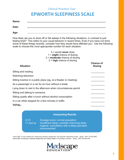## **Clinical Practice Tool EPWORTH SLEEPINESS SCALE**

| Name: |  |
|-------|--|
| Date: |  |
| Age:  |  |

How likely are you to doze off or fall asleep in the following situations, in contrast to just feeling tired? This refers to your usual behavior in recent times. Even if you have not done some of these things recently, consider how they would have affected you. Use the following scale to choose the *most appropriate number* for each situation:

#### 0 = would **never** doze 1 = **slight** chance of dozing 2 = **moderate** chance of dozing 3 = **high** chance of dozing

| <b>Situation</b>                                                 | <b>Chance of</b><br><b>Dozing</b> |
|------------------------------------------------------------------|-----------------------------------|
| Sitting and reading                                              |                                   |
| Watching television                                              |                                   |
| Sitting inactive in a public place (eg, at a theater or meeting) |                                   |
| As a passenger in a car for an hour without a break              |                                   |
| Lying down to rest in the afternoon when circumstances permit    |                                   |
| Sitting and talking to someone                                   |                                   |
| Sitting quietly after a lunch without alcohol consumption        |                                   |
| In a car while stopped for a few minutes in traffic              |                                   |
| <b>TOTAL:</b>                                                    |                                   |

### **Interpreting Results**

0-10 Average score; normal population 11 and up Insufficient sleep; consider improving sleep hygiene; consultation with a sleep specialist recommended

Johns MW. A new method for measuring daytime sleepiness: the Epworth sleepiness scale. *Sleep*. 1991;14:540-545. Johns MW, Hocking B. Daytime sleepiness and sleep habits of Australian workers. *Sleep*. 1997;20:844-849.

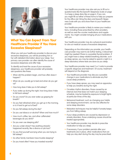

## What You Can Expect From Your Healthcare Provider if You Have Excessive Sleepiness?

When you visit your healthcare provider to discuss your excessive sleepiness, you will be providing him or her with detailed information about your sleep. Your primary care provider can often identify the cause of excessive sleepiness and offer help.

To identify and treat the cause of your excessive sleepiness, your healthcare provider will probably ask questions like these:

- When did this problem begin, and how often does it happen?
- When do you usually go to bed and when do you get up?
- How long does it take you to fall asleep?
- If you wake up during the night, how long does it take to fall back asleep?
- Do you snore? Do you ever wake up gasping for breath?
- Do you feel refreshed when you get up in the morning, or is it hard to get out of bed?
- Do you fall asleep during the day?
- Do you use tobacco or alcohol? When and how much?
- How much coffee, tea, and other caffeinated beverages do you drink?
- Do you ever use sleeping pills?
- Are you under stress? Has anything stressful happened recently, like a divorce or job loss?
- Do you find yourself worrying when you are trying to fall asleep?
- Do other family members have trouble sleeping?
- Do you travel often? Have you traveled recently?

Your healthcare provider may also ask you to fill out a questionnaire like the Epworth Sleepiness Scale on page 3 or keep a sleep diary like on page 6. If you can, you might fill out either of these forms to help you prepare for the office visit. Bring the diary and Epworth Sleepiness Scale with you and show them to your healthcare provider.

Your healthcare provider is likely to review your medications, including those prescribed by other providers, as well as over-the-counter medications and supplements. You might consider bringing all your medications with you.

Your healthcare provider may do a physical examination to rule out medical causes of excessive sleepiness.

Depending on the information you provide, your healthcare provider may want to do further testing. A blood test might be needed if there is a possible thyroid problem. If you might have a sleep-related breathing disorder, such as sleep apnea, you may be asked to spend a night in a sleep laboratory where tests are done as you sleep.

Your healthcare provider may need 2 or 3 visits to provide a specific diagnosis and treatment. Of course, treatment will depend on the diagnosis.

- Your healthcare provider may discuss a possible change in your medications to eliminate any that cause sleep problems.
- If you have sleep apnea, you may need an apparatus to help you breathe during the night.
- Circadian rhythm disorders, those caused by an internal clock that does not match your sleeping schedule, may be treated by exposure to bright lights at particular times of the day.
- Behavioral treatment, such as changing your habits and sleeping environment, can be very effective for some sleep disorders.
- Relaxation techniques may be helpful if anxiety keeps you from falling asleep.
- If your sleep problems are caused by depression or anxiety disorders, those underlying causes should be treated appropriately.
- Your healthcare provider may decide to prescribe medication to help you sleep.
- If necessary, if your problem persists after your treatments are in place, other medications that can help you stay alert during the day may be prescribed.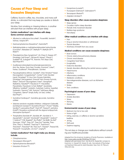## Causes of Poor Sleep and Excessive Sleepiness

Caffeine, found in coffee, tea, chocolate, and many soft drinks, is a stimulant that may keep you awake or disturb your sleep.

Nicotine, from smoking or chewing tobacco, is another stimulant that can interfere with proper sleep.

#### **Certain medications\* can interfere with sleep. Some common examples:**

- • Albuterol or salbutamol (AccuNeb®, Proventil®, Ventolin®, Volmax, VoSpire ER®)
- Dextroamphetamine (Dexedrine®, DextroStat®)
- Methylphenidate or methylphenidylacetate hydrochloride (Concerta®, Metadate CD®, Methylin™, Methylin ER™, Ritalin®)
- Phenylephrine (Neo-Synephrine®, Ah-Chew D, Despec-SF®, Dimetapp Cold Drops®, Gilchew IR, Nasop®, Phenyl-T, Sudafed® PE, Sudogest® PE, Triaminic Thin Strips Cold, Wal-Phed PE®)
- Guaifenesin/phenylephrine/phenylpropanolamine (Ami-Tex, Banex, Dura-Gest, Duratex, Enomine®, Entex®, Fentex, Guaifenex®, Phenylfenesin, Quintex)
- Pseudoephedrine (Afrinol, Cenafed®, Chlor-Trimeton® Nasal Decongestant, Congestaclear®, Contac® Cold, Decofed Liquid, Dimetapp® 12-Hour Non-Drowsy Extentabs, Dimetapp® Decongestant, Drixoral® Non-Drowsy Formula, Efidac®, ElixSure® Decongestant, Entex®, Genaphed®, Myfedrine, Nasofed™, Pseudocot-T®, Pseudofed, Pseudotabs, Pseudoval, Q-Fed, Ridifed®, Seudotabs, Silfedrine, Sudafed®, Sudodrin, SudoGest, Sudrine, Superfed, Suphedrin, Triaminic® AM, Triaminic® Softchews Allergy Congestion, Tylenol® Simply Stuffy, Uni-Sed, Unifed, Wal-Phed® )
- Quinidine (Cardioquin®, Quinidine gluconate, Quinidine sulfate)
- Selective serotonin reuptake inhibitors: citalopram (Celexa®), escitalopram (Lexapro®), fluoxetine (Prozac®, Prozac® Weekly, Sarafem®), paroxetine (Paxil®, Paxil CR®, Pexeva®), sertraline (Zoloft®), fluoxetine combined with the atypical antipsychotic olanzapine (Symbyax®)
- Theophylline (Aerolate III®, Aerolate JR®, Aerolate Sr. ®, Aquaphyllin®, Asmalix®, Bronkodyl®, Elixophyllin®, Quibron® T, Quibron® T/SR, Respbid®, Slo-Phyllin®, Slo Bid®, Slo-Bid® Gyrocaps, T-Phyl®, Theo-24®, Theo-Dur® Sprinkle, Theo- Time, Theo-X, Theobid®, TheoCap™, Theochron®, Theoclear®, Theoclear®-80, Theo-Dur®, Theolair®, Theosol-80, Theovent®, Truxophyllin, Uni-Dur®, Uniphyl®)

#### **Certain medications\* that might make you drowsy include:**

- Chlorpheniramine
- Clonazepam (Klonopin®)
- Diphenhydramine (Benadryl®)
- • Estazolam (ProSom™)
- Eszopiclone (Lunesta®)
- • Flurazepam (Dalmane®, Dalmadorm®)
- Temazepam (Restoril<sup>®</sup>)
- Zolpidem (Ambien®)

#### **Sleep disorders often cause excessive sleepiness:**

- Sleep apnea
- Circadian rhythm sleep disorders
- Periodic limb movement disorder
- Restless legs syndrome
- Narcolepsy

#### **Other medical conditions can interfere with sleep:**

- • Pain
- Drug or alcohol intoxication or withdrawal
- Thyroid disorders
- Shortness of breath from any cause

#### **Medical conditions can cause excessive sleepiness:**

- Brain tumors
- Chronic obstructive pulmonary disease
- Chronic renal disease
- Congestive heart failure
- Encephalitis
- Endocrine disorders
- Genetic disorders affecting the central nervous system
- Head trauma
- Infections
- Inflammatory conditions
- Metabolic conditions
- Neurodegenerative diseases, such as Alzheimer disease
- • Stroke
- Toxic conditions

#### **Psychological causes of poor sleep:**

- Depression
- Anxiety disorders
- Stress
- Worrying
- Mania

#### **Environmental causes of poor sleep:**

- Bedroom too hot or too cold
- Noise or light
- Eating, exercise, or caffeine or alcohol use before bedtime
- Jet laa
- Shift work
- Daytime napping

\*Do not stop or change your medications without consulting your healthcare provider.

Adapted from the American Academy of Family Physicians. Available at: http://www.aafp.org/afp/990401ap/1911.html

Adapted with permission from: Van Brunt DL, Riedel BW, Lichstein KL. Insomnia. In: Hasselt VB, Hersen M, eds. Sourcebook of Psychological Treatment Manuals for Adult Disorders. New York, NY: Plenum; 1996:539-556.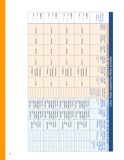| DATE <sub>.</sub><br><b>DAY.</b><br><b>DAYA</b>                                                                                                | <b>DATE</b><br><b>DAY</b><br><b>DAY 3</b>                                                                                             | <b>DATE</b><br><b>DAY</b><br><b>DAY 2</b>                                                                                             | <b>DATE</b><br><b>DAY</b><br>DAY 1                                                                                        | 1-4 below and<br>Fill out days<br>on page 2<br>days 5-7                                                                                                                                                |                                    |
|------------------------------------------------------------------------------------------------------------------------------------------------|---------------------------------------------------------------------------------------------------------------------------------------|---------------------------------------------------------------------------------------------------------------------------------------|---------------------------------------------------------------------------------------------------------------------------|--------------------------------------------------------------------------------------------------------------------------------------------------------------------------------------------------------|------------------------------------|
| <b>PM/AM</b>                                                                                                                                   | <b>PM/AM</b>                                                                                                                          | <b>PM/AM</b>                                                                                                                          | <b>PM/AM</b>                                                                                                              | night at:<br>bed last<br>I went to                                                                                                                                                                     |                                    |
| <b>PM/AM</b>                                                                                                                                   | <b>PM/AM</b>                                                                                                                          | <b>PM/AM</b>                                                                                                                          | MA/MP                                                                                                                     | morning at:<br>bed this<br>I got out of<br>С                                                                                                                                                           |                                    |
| Minutes                                                                                                                                        | Minutes                                                                                                                               | Minutes                                                                                                                               | Minutes                                                                                                                   | asleep in:<br>Last night,<br>l fell<br>$\blacksquare$<br>P<br>니                                                                                                                                        |                                    |
| Times                                                                                                                                          | Times                                                                                                                                 | <b>IImes</b>                                                                                                                          | Times                                                                                                                     | of times)<br>night:<br>I woke up<br>during the<br>(Record number<br>6<br>$\overline{\mathbf{N}}$                                                                                                       |                                    |
| $\Box$<br>$\Box$<br>$\Box$<br>Fatigued<br>Refreshed<br>Somewhat<br>refreshed                                                                   | $\Box$<br><b>Refreshed</b><br>$\Box$<br>Fatigued<br>Somewhat<br>refreshed                                                             | $\Box$<br>$\Box$<br><b>Fatigued</b><br>Refreshed<br>Somewhat<br>refreshed                                                             | $\Box$<br><b>Fatigued</b><br>$\Box$<br>Somewhat<br>Refreshed<br>refreshed                                                 | MORNING<br>up for the<br>(Check one)<br>day, I felt:<br>When I woke                                                                                                                                    | National Sleep Foundation Sleep Di |
| Hours                                                                                                                                          | Hours                                                                                                                                 | Hours                                                                                                                                 | Hours                                                                                                                     | of hours)<br>I slept a<br>(Record number<br>total of:<br>Last night                                                                                                                                    |                                    |
|                                                                                                                                                |                                                                                                                                       |                                                                                                                                       |                                                                                                                           | physical discomfort,<br>stress, snoring,<br>emotional, physical<br>temperature)<br>your sleep; e.g.<br>factors that affected<br>or environmental<br>(List any mental,<br>disturbed by:<br>My sleep was |                                    |
| □ No <sup>-</sup><br>$\Box$<br>$\Box$<br>$\Box$<br>Within several<br><b>Afternoon</b><br>Morning<br>applicable<br>pad at priop<br>hours before | $\Box$<br>Afternoon<br>$\Box$<br>$\Box$<br>Νò<br>applicable<br>Within several<br>paing to bed<br>Morning<br>hours before              | $\Box$<br>$\Box$<br>$\Box$<br>$\Box$<br>  Not<br>Afternoon<br>applicable<br>Within several<br>Morning<br>boing to bed<br>hours before | <b>Mithin several</b><br>□ Not<br>Afternoon<br>□<br>applicable<br>Morning<br>going to bed<br>hours before                 | cola)<br>caffeinated<br>(e.g. coffee, tea,<br>drinks in the:<br>I consumed<br>$\overline{C}$ O $\overline{M}$                                                                                          | <b>lary</b>                        |
| $\Box$<br>$\Box$<br>$\Box$<br>□<br>Within several<br>applicable<br>Not<br>Afternoon<br>Morning<br>going to bed<br>hours before                 | $\Box$<br>$\Box$<br>$\Box$<br>□<br>Within several<br>applicable<br>Not<br>going to bed<br>Afternoon<br>Morning<br><b>hours before</b> | $\Box$<br>□<br>□<br>□<br>applicable<br>Not<br>Within several<br><b>Afternoon</b><br>Morning<br>ped at price<br>hours before           | $\Box$<br>□<br>□<br>$\Box$<br>Not<br>applicable<br>Within several<br>pad at priop<br>Afternoon<br>Morning<br>hours before | I exercised<br>in the:<br>minutes<br>at least 20<br>$\overline{\phantom{0}}$<br>$\frac{1}{\sqrt{2}}$<br>٣                                                                                              |                                    |
| $\Box$<br>□<br>□<br><b>Alcohol</b><br>Not<br>applicable<br>A heavy<br>meal                                                                     | <b>Alcohol</b><br>$\Box$<br>□<br>Not<br>A heavy<br>applicable<br>meal                                                                 | $\Box$<br>$\Box$<br>$\Box$<br>applicable<br><b>Not</b><br>A heavy<br><b>Alcohol</b><br>meal                                           | $\Box$<br>□<br>□<br><b>Not</b><br>A heavy<br><b>Alcohol</b><br>applicable<br>meal                                         | 园<br>$y$ 2-3 hours<br>Approximatel<br>consumed:<br>to bed, I<br>before going<br>⋗<br>Η<br>$\overline{a}$<br>Z                                                                                          |                                    |
|                                                                                                                                                |                                                                                                                                       |                                                                                                                                       |                                                                                                                           | $\blacktriangledown$<br>Medication(s)<br>medication/drug(s)]<br>the day:<br>I took during<br>[List name of<br>C<br>보<br>U                                                                              |                                    |
|                                                                                                                                                |                                                                                                                                       |                                                                                                                                       |                                                                                                                           | $\blacktriangleright$<br>before going<br>watch TV, work,<br>activity:<br>to sleep, I did<br>About 1 hour<br>read)<br>the following<br>(List activity; e.g.<br>≺                                        |                                    |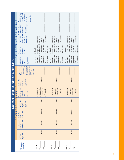| National Sleep Foundation Sleep Diary | DAY<br>$\overline{\phantom{0}}$<br>END<br>AT<br>COMPLETE<br>N MORNING | About 1 hour<br>to sleep, I did<br>the following<br>before going<br>List activity; e.g.<br>watch TV, work,<br>activity:<br>read)<br>I took during<br>Medication(s)<br>medication/drug(s)]<br>[List name of<br>the day:<br>before going<br>Approximatel<br>$y$ 2-3 hours<br>consumed:<br>to bed, I<br><b>l</b> exercised<br>at least 20<br>minutes<br>in the:<br>I consumed<br>caffeinated<br>$(e.g. \; coffee, \;tea, \; colo)$<br>drinks in<br>the:<br>your sleep; e.g. stress<br>or environmental fac-<br>My sleep was<br>disturbed by:<br>emotional, physical<br>physical discomfort,<br>tors that affected<br>(List any mental,<br>temperature)<br>snoring,<br>(Record number<br>Last night<br>total of:<br>I slept a<br>of hours)<br>woke up for<br>the day, I<br>When I<br>(Check one)<br>felt:<br>the<br>e | applicable<br>$\Box$ A heavy<br>Alcohol<br>meal<br>□ Not<br>Within several<br>hours before<br>Afternoon<br>going to bed<br>applicable<br>Morning<br>Not<br>$\Box$<br>П<br>$\Box$<br>Within several<br>hours before<br>going to bed<br>applicable<br>Afternoon<br>Morning<br>Not<br>Hours<br>Somewhat<br>Refreshed<br>refreshed<br><b>Fatigued</b><br>$\Box$ | applicable<br>$\Box$ A heavy<br>Alcohol<br>meal<br>$\frac{1}{2}$ Not<br>Within several<br>Afternoon<br>hours before<br>going to bed<br>applicable<br>Morning<br>Not<br>$\Box$<br>$\Box$<br>$\Box$<br>□<br>Within several<br>hours before<br>going to bed<br>applicable<br>Afternoon<br>Morning<br>Not<br>Hours<br>Somewhat<br>Refreshed<br>refreshed<br><b>Fatigued</b><br>$\Box$ | applicable<br>$\Box$ A heavy<br>Alcohol<br>meal<br>□ Not<br>Within several<br>hours before<br>Afternoon<br>going to bed<br>Morning<br>Not<br>$\Box$<br>$\Box$<br>$\Box$<br>$\Box$ Within several<br>hours before<br>going to bed<br>Afternoon<br>Morning<br>$\Box$<br>Hours<br>Somewhat<br>Refreshed<br>refreshed<br>$\Box$<br>$\Box$<br>Times |
|---------------------------------------|-----------------------------------------------------------------------|-------------------------------------------------------------------------------------------------------------------------------------------------------------------------------------------------------------------------------------------------------------------------------------------------------------------------------------------------------------------------------------------------------------------------------------------------------------------------------------------------------------------------------------------------------------------------------------------------------------------------------------------------------------------------------------------------------------------------------------------------------------------------------------------------------------------|-------------------------------------------------------------------------------------------------------------------------------------------------------------------------------------------------------------------------------------------------------------------------------------------------------------------------------------------------------------|-----------------------------------------------------------------------------------------------------------------------------------------------------------------------------------------------------------------------------------------------------------------------------------------------------------------------------------------------------------------------------------|------------------------------------------------------------------------------------------------------------------------------------------------------------------------------------------------------------------------------------------------------------------------------------------------------------------------------------------------|
|                                       |                                                                       |                                                                                                                                                                                                                                                                                                                                                                                                                                                                                                                                                                                                                                                                                                                                                                                                                   |                                                                                                                                                                                                                                                                                                                                                             |                                                                                                                                                                                                                                                                                                                                                                                   | Not                                                                                                                                                                                                                                                                                                                                            |
|                                       |                                                                       |                                                                                                                                                                                                                                                                                                                                                                                                                                                                                                                                                                                                                                                                                                                                                                                                                   |                                                                                                                                                                                                                                                                                                                                                             |                                                                                                                                                                                                                                                                                                                                                                                   |                                                                                                                                                                                                                                                                                                                                                |
|                                       |                                                                       |                                                                                                                                                                                                                                                                                                                                                                                                                                                                                                                                                                                                                                                                                                                                                                                                                   |                                                                                                                                                                                                                                                                                                                                                             |                                                                                                                                                                                                                                                                                                                                                                                   |                                                                                                                                                                                                                                                                                                                                                |
|                                       |                                                                       |                                                                                                                                                                                                                                                                                                                                                                                                                                                                                                                                                                                                                                                                                                                                                                                                                   |                                                                                                                                                                                                                                                                                                                                                             |                                                                                                                                                                                                                                                                                                                                                                                   | <b>Fatigued</b>                                                                                                                                                                                                                                                                                                                                |
|                                       |                                                                       | (Record number<br><b>woke</b><br>during<br>night:<br>of times)                                                                                                                                                                                                                                                                                                                                                                                                                                                                                                                                                                                                                                                                                                                                                    | Times                                                                                                                                                                                                                                                                                                                                                       | Times                                                                                                                                                                                                                                                                                                                                                                             |                                                                                                                                                                                                                                                                                                                                                |
|                                       | COMPLETE                                                              | Last night,<br>asleep in:<br>l fell                                                                                                                                                                                                                                                                                                                                                                                                                                                                                                                                                                                                                                                                                                                                                                               | Minutes                                                                                                                                                                                                                                                                                                                                                     | Minutes                                                                                                                                                                                                                                                                                                                                                                           | Minutes                                                                                                                                                                                                                                                                                                                                        |
|                                       |                                                                       | morning at:<br>I got out of<br>bed this                                                                                                                                                                                                                                                                                                                                                                                                                                                                                                                                                                                                                                                                                                                                                                           | PM/AM                                                                                                                                                                                                                                                                                                                                                       | PM/AM                                                                                                                                                                                                                                                                                                                                                                             | PM/AM                                                                                                                                                                                                                                                                                                                                          |
|                                       |                                                                       | went to<br>night at:<br>bed last                                                                                                                                                                                                                                                                                                                                                                                                                                                                                                                                                                                                                                                                                                                                                                                  | PM/AM                                                                                                                                                                                                                                                                                                                                                       | PM/AM                                                                                                                                                                                                                                                                                                                                                                             | PM/AM                                                                                                                                                                                                                                                                                                                                          |
|                                       |                                                                       |                                                                                                                                                                                                                                                                                                                                                                                                                                                                                                                                                                                                                                                                                                                                                                                                                   |                                                                                                                                                                                                                                                                                                                                                             |                                                                                                                                                                                                                                                                                                                                                                                   |                                                                                                                                                                                                                                                                                                                                                |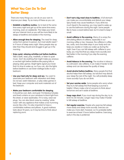## What You Can Do To Get Better Sleep

There are many things you can do on your own to improve your sleep. Try as many of these as you can.

- **• Establish a bedtime routine.** Go to bed at the same time every night and get up at the same time every morning, even on weekends. This helps your brain set your internal clock so you will be more likely to be sleepy at bedtime and awake in the morning.
- **• Allow enough time for sleeping.** The need for sleep varies from person to person, but most adults need 7 to 9 hours of sleep every night. Many people stay up later than they should and struggle to get up in the morning.
- **• Enjoy quiet, relaxing activities just before bedtime.** Take a bath, read, pray, meditate, or listen to quiet music. Don't do anything that might make you anxious or excited right before bedtime like paying bills or playing video games. Bright lights signal your brain that it is time to wake up, so if you can, dim the lights before bedtime or use lower wattage bulbs in your bedroom.
- **• Use your bed only for sleep and sex.** You want to associate your bedroom with relaxation and sleep. Do not eat, watch television, or play video games in bed. Keep your computer and work materials out of the bedroom.
- **• Make your bedroom comfortable for sleeping.** It should be cool, dark, and quiet. Put blackout shades and lined curtains on your windows to block light from the street, or wear eyeshades. If it is noisy, wear ear plugs. You can also block noise by creating "white noise" with any appliance that makes a low humming sound, like a fan. It is also important to have a comfortable mattress and pillows. A good mattress lasts about 10 years, so it may be time to think about replacing yours.
- **• Don't eat a big meal close to bedtime.** A full stomach can make you uncomfortable and disturb your sleep. Spicy foods may cause heartburn. If you drink too much liquid in the evening, you may need to wake up to use the bathroom during the night. Some people like to have a snack before bed, but it is best to keep it small.
- **• Avoid caffeine in the evening.** Many of us enjoy the stimulating effects of caffeine, especially in our morning coffee or tea. However, the caffeine in coffee, tea, soda, and chocolate stays in your body and can keep you awake or make you wake up during the night. Even if you can fall asleep with caffeine in your body, you may find that you sleep more soundly and feel better in the morning if you skip the evening caffeine.
- **• Avoid tobacco in the evening.** The nicotine in tobacco is a stimulant. Like caffeine, it can make it harder to fall asleep and can decrease the quality of sleep.
- **• Avoid alcohol before bedtime.** Many people find that alcohol helps them fall asleep, but alcohol may disturb your sleep the rest of the night. You will probably sleep more soundly if you do not drink.
- **• Set your worries aside.** Some people who worry when they try to fall asleep find that keeping a journal is helpful. Others make a list of concerns to think about tomorrow and set it aside at bedtime.
- **• Keep naps short.** If you must nap during the day, try to limit it to 30 minutes. Longer naps may make it harder to fall asleep at bedtime.
- **• Get regular exercise.** People who exercise fall asleep more easily and sleep more soundly. Exercise can make you more alert, however, so it is probably better to exercise at least 3 hours before bedtime. Exercising early in the day is preferred.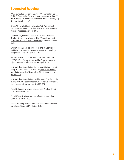## Suggested Reading

AAA Foundation for Traffic Safety. AAA Foundation for Traffic Safety - FAQs: Drowsy Driving. Available at: http:// www.aaafts.org/resources/index.cfm?button=drowsyfaq Accessed April 12, 2011.

Breus MJ How to Sleep Better. WebMD. Available at: http://www.webmd.com/sleep-disorders/guide/sleephygiene Accessed April 12, 2011.

Cataletto ME, Hertz G. Sleeplessness and Circadian Rhythm Disorder. Available at: http://emedicine.med scape.com/article/1188944-overview Accessed April 12, 2011.

Drake C, Roehrs T, Breslau N, et al. The 10-year risk of verified motor vehicle crashes in relation to physiologic sleepiness. Sleep. 2010;33:745-752.

Eddy M, Walbroehl GS. Insomnia. Am Fam Physician. 1999;59:1911-1916. Available at: http://www.aafp.org/ afp/990401ap/1911.html Accessed April 12,2011.

National Sleep Foundation. Summary of Findings. 2005 Sleep in America Poll. Available at: http://www.sleepfoundation.org/sites/default/files/2005\_summary\_of\_ findings.pdf

National Sleep Foundation. Healthy Sleep Tips. Available at: http://www.sleepfoundation.org/article/sleep-topics/ healthy-sleep-tips Accessed April 12, 2011.

Pagel JF. Excessive daytime sleepiness. Am Fam Physician. 2009;79:391-396.

Pagel JF. Medications and their effects on sleep. Prim Care. 2005;32:491-509.

Parish JM. Sleep-related problems in common medical conditions. Chest. 2009;135:563-572.